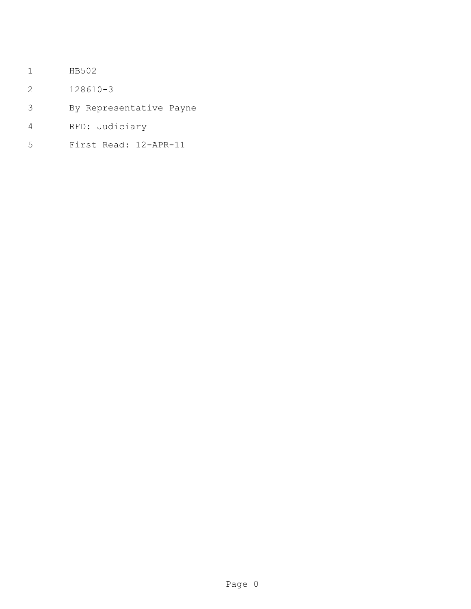- HB502
- 128610-3
- By Representative Payne
- RFD: Judiciary
- First Read: 12-APR-11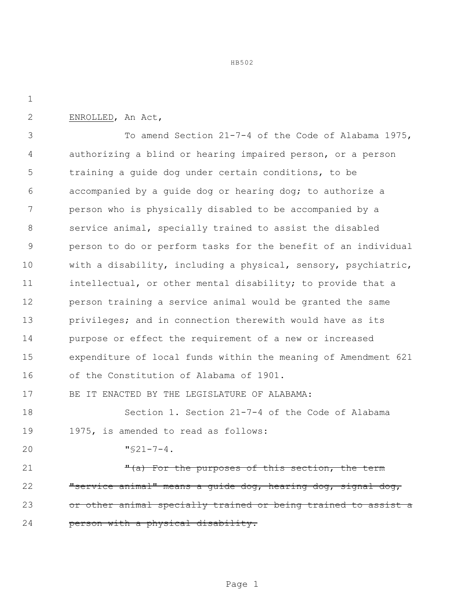HB502

## ENROLLED, An Act,

 To amend Section 21-7-4 of the Code of Alabama 1975, authorizing a blind or hearing impaired person, or a person training a guide dog under certain conditions, to be accompanied by a guide dog or hearing dog; to authorize a person who is physically disabled to be accompanied by a service animal, specially trained to assist the disabled person to do or perform tasks for the benefit of an individual with a disability, including a physical, sensory, psychiatric, intellectual, or other mental disability; to provide that a person training a service animal would be granted the same privileges; and in connection therewith would have as its purpose or effect the requirement of a new or increased expenditure of local funds within the meaning of Amendment 621 of the Constitution of Alabama of 1901. BE IT ENACTED BY THE LEGISLATURE OF ALABAMA:

 Section 1. Section 21-7-4 of the Code of Alabama 1975, is amended to read as follows:

" $$21-7-4$ .

21 The Porthe purposes of this section, the term **"service animal"** means a guide dog, hearing dog, signal dog, 23 or other animal specially trained or being trained to assist a **person with a physical disability.**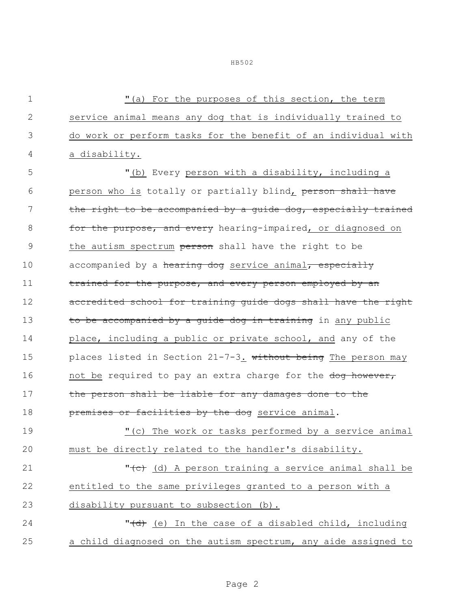1 "(a) For the purposes of this section, the term 2 service animal means any dog that is individually trained to 3 do work or perform tasks for the benefit of an individual with 4 a disability. 5 "(b) Every person with a disability, including a 6 person who is totally or partially blind, person shall have 7 the right to be accompanied by a quide dog, especially trained 8 for the purpose, and every hearing-impaired, or diagnosed on 9 the autism spectrum person shall have the right to be 10 accompanied by a hearing dog service animal, especially 11 trained for the purpose, and every person employed by an 12 accredited school for training guide dogs shall have the right 13 to be accompanied by a quide dog in training in any public 14 place, including a public or private school, and any of the 15 places listed in Section 21-7-3. without being The person may 16 not be required to pay an extra charge for the dog however, 17 the person shall be liable for any damages done to the 18 **premises or facilities by the dog** service animal. 19 "(c) The work or tasks performed by a service animal 20 must be directly related to the handler's disability. 21 **12 Commentary 12 Comment** Theories of A person training a service animal shall be 22 entitled to the same privileges granted to a person with a 23 disability pursuant to subsection (b). 24 T<del>(d)</del> (e) In the case of a disabled child, including 25 a child diagnosed on the autism spectrum, any aide assigned to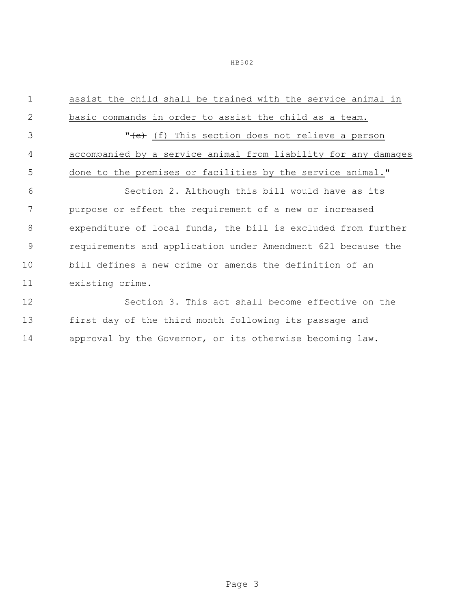HB502

| $\mathbf{1}$   | assist the child shall be trained with the service animal in   |  |  |
|----------------|----------------------------------------------------------------|--|--|
| 2              | basic commands in order to assist the child as a team.         |  |  |
| 3              | " <del>(e)</del> (f) This section does not relieve a person    |  |  |
| 4              | accompanied by a service animal from liability for any damages |  |  |
| 5              | done to the premises or facilities by the service animal."     |  |  |
| 6              | Section 2. Although this bill would have as its                |  |  |
| 7              | purpose or effect the requirement of a new or increased        |  |  |
| 8              | expenditure of local funds, the bill is excluded from further  |  |  |
| $\overline{9}$ | requirements and application under Amendment 621 because the   |  |  |
| 10             | bill defines a new crime or amends the definition of an        |  |  |
| 11             | existing crime.                                                |  |  |
| 12             | Section 3. This act shall become effective on the              |  |  |
| 13             | first day of the third month following its passage and         |  |  |
| 14             | approval by the Governor, or its otherwise becoming law.       |  |  |